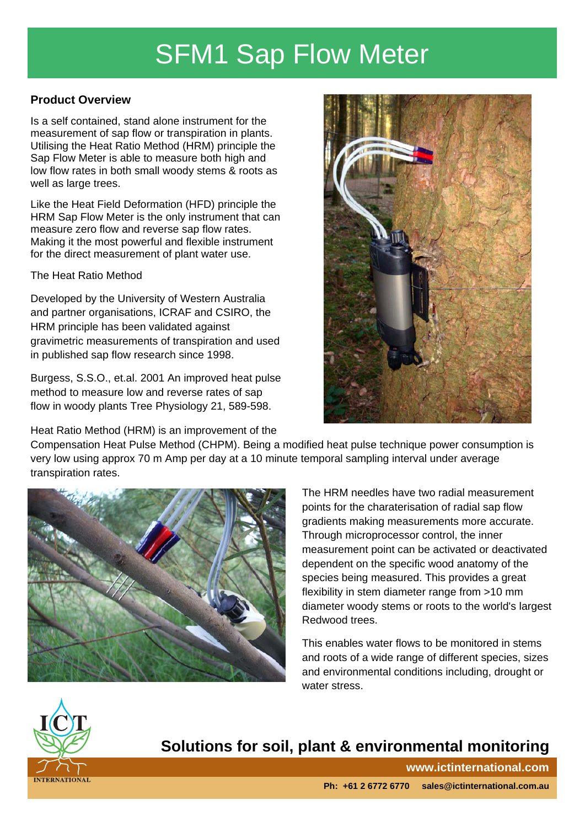## SFM1 Sap Flow Meter

#### **Product Overview**

Is a self contained, stand alone instrument for the measurement of sap flow or transpiration in plants. Utilising the Heat Ratio Method (HRM) principle the Sap Flow Meter is able to measure both high and low flow rates in both small woody stems & roots as well as large trees.

Like the Heat Field Deformation (HFD) principle the HRM Sap Flow Meter is the only instrument that can measure zero flow and reverse sap flow rates. Making it the most powerful and flexible instrument for the direct measurement of plant water use.

#### The Heat Ratio Method

Developed by the University of Western Australia and partner organisations, ICRAF and CSIRO, the HRM principle has been validated against gravimetric measurements of transpiration and used in published sap flow research since 1998.

Burgess, S.S.O., et.al. 2001 An improved heat pulse method to measure low and reverse rates of sap flow in woody plants Tree Physiology 21, 589-598.

Heat Ratio Method (HRM) is an improvement of the



Compensation Heat Pulse Method (CHPM). Being a modified heat pulse technique power consumption is very low using approx 70 m Amp per day at a 10 minute temporal sampling interval under average transpiration rates.



The HRM needles have two radial measurement points for the charaterisation of radial sap flow gradients making measurements more accurate. Through microprocessor control, the inner measurement point can be activated or deactivated dependent on the specific wood anatomy of the species being measured. This provides a great flexibility in stem diameter range from >10 mm diameter woody stems or roots to the world's largest Redwood trees.

This enables water flows to be monitored in stems and roots of a wide range of different species, sizes and environmental conditions including, drought or water stress.



## **Solutions for soil, plant & environmental monitoring**

**www.ictinternational.com**